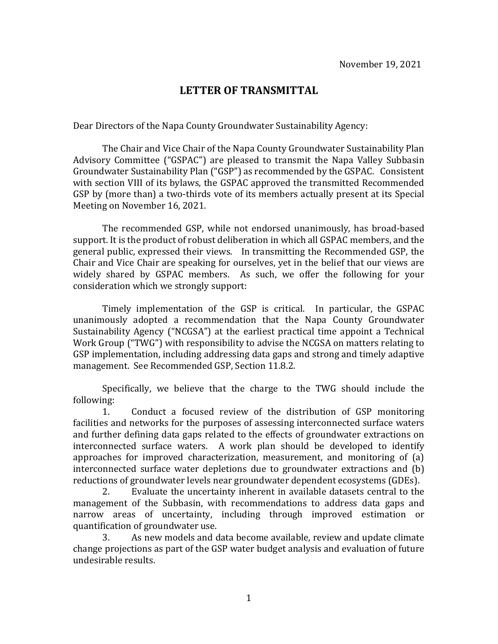## **LETTER OF TRANSMITTAL**

Dear Directors of the Napa County Groundwater Sustainability Agency:

The Chair and Vice Chair of the Napa County Groundwater Sustainability Plan Advisory Committee ("GSPAC") are pleased to transmit the Napa Valley Subbasin Groundwater Sustainability Plan ("GSP") as recommended by the GSPAC. Consistent with section VIII of its bylaws, the GSPAC approved the transmitted Recommended GSP by (more than) a two-thirds vote of its members actually present at its Special Meeting on November 16, 2021.

The recommended GSP, while not endorsed unanimously, has broad-based support. It is the product of robust deliberation in which all GSPAC members, and the general public, expressed their views. In transmitting the Recommended GSP, the Chair and Vice Chair are speaking for ourselves, yet in the belief that our views are widely shared by GSPAC members. As such, we offer the following for your consideration which we strongly support:

Timely implementation of the GSP is critical. In particular, the GSPAC unanimously adopted a recommendation that the Napa County Groundwater Sustainability Agency ("NCGSA") at the earliest practical time appoint a Technical Work Group ("TWG") with responsibility to advise the NCGSA on matters relating to GSP implementation, including addressing data gaps and strong and timely adaptive management. See Recommended GSP, Section 11.8.2.

Specifically, we believe that the charge to the TWG should include the following:

Conduct a focused review of the distribution of GSP monitoring facilities and networks for the purposes of assessing interconnected surface waters and further defining data gaps related to the effects of groundwater extractions on interconnected surface waters. A work plan should be developed to identify approaches for improved characterization, measurement, and monitoring of (a) interconnected surface water depletions due to groundwater extractions and (b) reductions of groundwater levels near groundwater dependent ecosystems (GDEs).

Evaluate the uncertainty inherent in available datasets central to the management of the Subbasin, with recommendations to address data gaps and narrow areas of uncertainty, including through improved estimation or quantification of groundwater use.<br>3. As new models and d

As new models and data become available, review and update climate change projections as part of the GSP water budget analysis and evaluation of future undesirable results.